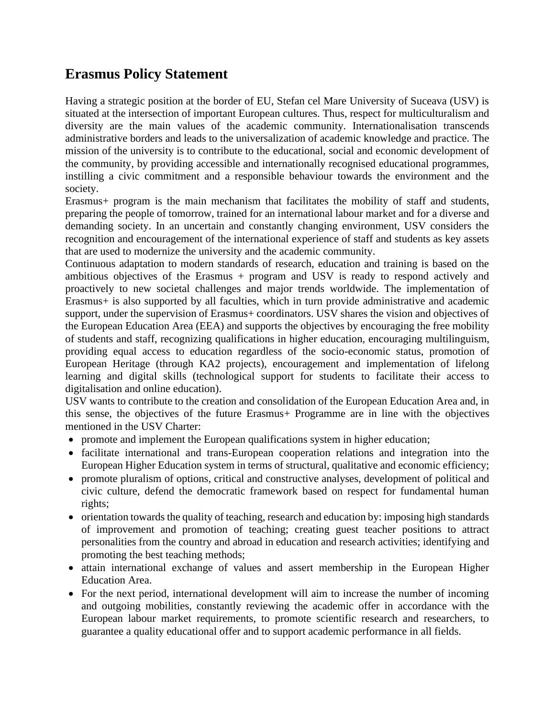## **Erasmus Policy Statement**

Having a strategic position at the border of EU, Stefan cel Mare University of Suceava (USV) is situated at the intersection of important European cultures. Thus, respect for multiculturalism and diversity are the main values of the academic community. Internationalisation transcends administrative borders and leads to the universalization of academic knowledge and practice. The mission of the university is to contribute to the educational, social and economic development of the community, by providing accessible and internationally recognised educational programmes, instilling a civic commitment and a responsible behaviour towards the environment and the society.

Erasmus+ program is the main mechanism that facilitates the mobility of staff and students, preparing the people of tomorrow, trained for an international labour market and for a diverse and demanding society. In an uncertain and constantly changing environment, USV considers the recognition and encouragement of the international experience of staff and students as key assets that are used to modernize the university and the academic community.

Continuous adaptation to modern standards of research, education and training is based on the ambitious objectives of the Erasmus + program and USV is ready to respond actively and proactively to new societal challenges and major trends worldwide. The implementation of Erasmus+ is also supported by all faculties, which in turn provide administrative and academic support, under the supervision of Erasmus+ coordinators. USV shares the vision and objectives of the European Education Area (EEA) and supports the objectives by encouraging the free mobility of students and staff, recognizing qualifications in higher education, encouraging multilinguism, providing equal access to education regardless of the socio-economic status, promotion of European Heritage (through KA2 projects), encouragement and implementation of lifelong learning and digital skills (technological support for students to facilitate their access to digitalisation and online education).

USV wants to contribute to the creation and consolidation of the European Education Area and, in this sense, the objectives of the future Erasmus+ Programme are in line with the objectives mentioned in the USV Charter:

- promote and implement the European qualifications system in higher education;
- facilitate international and trans-European cooperation relations and integration into the European Higher Education system in terms of structural, qualitative and economic efficiency;
- promote pluralism of options, critical and constructive analyses, development of political and civic culture, defend the democratic framework based on respect for fundamental human rights;
- orientation towards the quality of teaching, research and education by: imposing high standards of improvement and promotion of teaching; creating guest teacher positions to attract personalities from the country and abroad in education and research activities; identifying and promoting the best teaching methods;
- attain international exchange of values and assert membership in the European Higher Education Area.
- For the next period, international development will aim to increase the number of incoming and outgoing mobilities, constantly reviewing the academic offer in accordance with the European labour market requirements, to promote scientific research and researchers, to guarantee a quality educational offer and to support academic performance in all fields.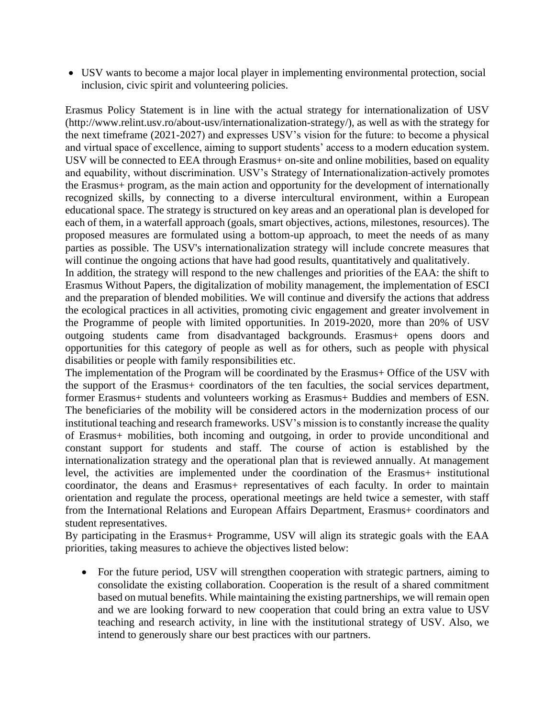• USV wants to become a major local player in implementing environmental protection, social inclusion, civic spirit and volunteering policies.

Erasmus Policy Statement is in line with the actual strategy for internationalization of USV (http://www.relint.usv.ro/about-usv/internationalization-strategy/), as well as with the strategy for the next timeframe (2021-2027) and expresses USV's vision for the future: to become a physical and virtual space of excellence, aiming to support students' access to a modern education system. USV will be connected to EEA through Erasmus+ on-site and online mobilities, based on equality and equability, without discrimination. USV's Strategy of Internationalization actively promotes the Erasmus+ program, as the main action and opportunity for the development of internationally recognized skills, by connecting to a diverse intercultural environment, within a European educational space. The strategy is structured on key areas and an operational plan is developed for each of them, in a waterfall approach (goals, smart objectives, actions, milestones, resources). The proposed measures are formulated using a bottom-up approach, to meet the needs of as many parties as possible. The USV's internationalization strategy will include concrete measures that will continue the ongoing actions that have had good results, quantitatively and qualitatively.

In addition, the strategy will respond to the new challenges and priorities of the EAA: the shift to Erasmus Without Papers, the digitalization of mobility management, the implementation of ESCI and the preparation of blended mobilities. We will continue and diversify the actions that address the ecological practices in all activities, promoting civic engagement and greater involvement in the Programme of people with limited opportunities. In 2019-2020, more than 20% of USV outgoing students came from disadvantaged backgrounds. Erasmus+ opens doors and opportunities for this category of people as well as for others, such as people with physical disabilities or people with family responsibilities etc.

The implementation of the Program will be coordinated by the Erasmus+ Office of the USV with the support of the Erasmus+ coordinators of the ten faculties, the social services department, former Erasmus+ students and volunteers working as Erasmus+ Buddies and members of ESN. The beneficiaries of the mobility will be considered actors in the modernization process of our institutional teaching and research frameworks. USV's mission is to constantly increase the quality of Erasmus+ mobilities, both incoming and outgoing, in order to provide unconditional and constant support for students and staff. The course of action is established by the internationalization strategy and the operational plan that is reviewed annually. At management level, the activities are implemented under the coordination of the Erasmus+ institutional coordinator, the deans and Erasmus+ representatives of each faculty. In order to maintain orientation and regulate the process, operational meetings are held twice a semester, with staff from the International Relations and European Affairs Department, Erasmus+ coordinators and student representatives.

By participating in the Erasmus+ Programme, USV will align its strategic goals with the EAA priorities, taking measures to achieve the objectives listed below:

• For the future period, USV will strengthen cooperation with strategic partners, aiming to consolidate the existing collaboration. Cooperation is the result of a shared commitment based on mutual benefits. While maintaining the existing partnerships, we will remain open and we are looking forward to new cooperation that could bring an extra value to USV teaching and research activity, in line with the institutional strategy of USV. Also, we intend to generously share our best practices with our partners.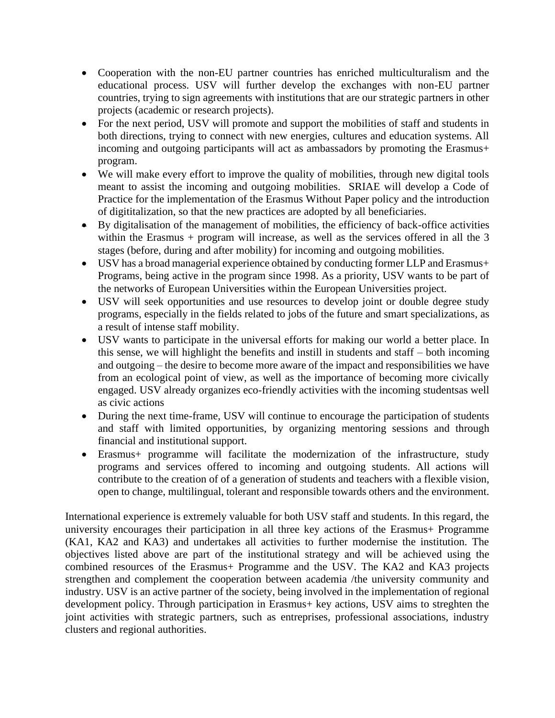- Cooperation with the non-EU partner countries has enriched multiculturalism and the educational process. USV will further develop the exchanges with non-EU partner countries, trying to sign agreements with institutions that are our strategic partners in other projects (academic or research projects).
- For the next period, USV will promote and support the mobilities of staff and students in both directions, trying to connect with new energies, cultures and education systems. All incoming and outgoing participants will act as ambassadors by promoting the Erasmus+ program.
- We will make every effort to improve the quality of mobilities, through new digital tools meant to assist the incoming and outgoing mobilities. SRIAE will develop a Code of Practice for the implementation of the Erasmus Without Paper policy and the introduction of digititalization, so that the new practices are adopted by all beneficiaries.
- By digitalisation of the management of mobilities, the efficiency of back-office activities within the Erasmus + program will increase, as well as the services offered in all the 3 stages (before, during and after mobility) for incoming and outgoing mobilities.
- USV has a broad managerial experience obtained by conducting former LLP and Erasmus+ Programs, being active in the program since 1998. As a priority, USV wants to be part of the networks of European Universities within the European Universities project.
- USV will seek opportunities and use resources to develop joint or double degree study programs, especially in the fields related to jobs of the future and smart specializations, as a result of intense staff mobility.
- USV wants to participate in the universal efforts for making our world a better place. In this sense, we will highlight the benefits and instill in students and staff – both incoming and outgoing – the desire to become more aware of the impact and responsibilities we have from an ecological point of view, as well as the importance of becoming more civically engaged. USV already organizes eco-friendly activities with the incoming studentsas well as civic actions
- During the next time-frame, USV will continue to encourage the participation of students and staff with limited opportunities, by organizing mentoring sessions and through financial and institutional support.
- Erasmus+ programme will facilitate the modernization of the infrastructure, study programs and services offered to incoming and outgoing students. All actions will contribute to the creation of of a generation of students and teachers with a flexible vision, open to change, multilingual, tolerant and responsible towards others and the environment.

International experience is extremely valuable for both USV staff and students. In this regard, the university encourages their participation in all three key actions of the Erasmus+ Programme (KA1, KA2 and KA3) and undertakes all activities to further modernise the institution. The objectives listed above are part of the institutional strategy and will be achieved using the combined resources of the Erasmus+ Programme and the USV. The KA2 and KA3 projects strengthen and complement the cooperation between academia /the university community and industry. USV is an active partner of the society, being involved in the implementation of regional development policy. Through participation in Erasmus+ key actions, USV aims to streghten the joint activities with strategic partners, such as entreprises, professional associations, industry clusters and regional authorities.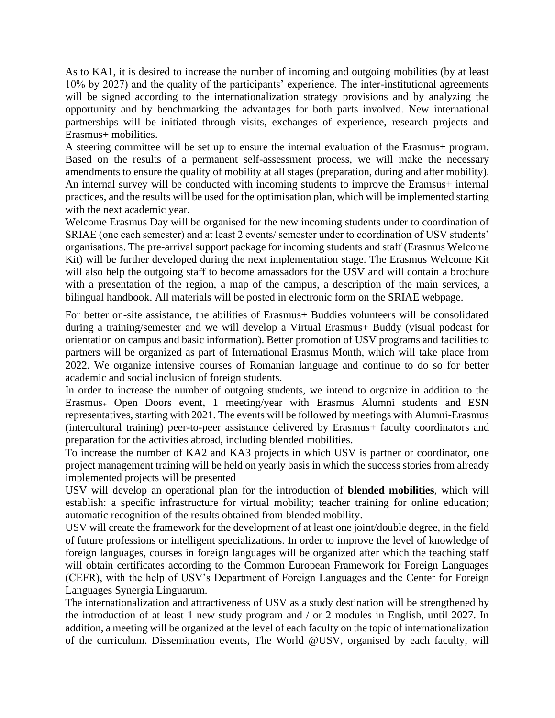As to KA1, it is desired to increase the number of incoming and outgoing mobilities (by at least 10% by 2027) and the quality of the participants' experience. The inter-institutional agreements will be signed according to the internationalization strategy provisions and by analyzing the opportunity and by benchmarking the advantages for both parts involved. New international partnerships will be initiated through visits, exchanges of experience, research projects and Erasmus+ mobilities.

A steering committee will be set up to ensure the internal evaluation of the Erasmus+ program. Based on the results of a permanent self-assessment process, we will make the necessary amendments to ensure the quality of mobility at all stages (preparation, during and after mobility). An internal survey will be conducted with incoming students to improve the Eramsus+ internal practices, and the results will be used for the optimisation plan, which will be implemented starting with the next academic year.

Welcome Erasmus Day will be organised for the new incoming students under to coordination of SRIAE (one each semester) and at least 2 events/ semester under to coordination of USV students' organisations. The pre-arrival support package for incoming students and staff (Erasmus Welcome Kit) will be further developed during the next implementation stage. The Erasmus Welcome Kit will also help the outgoing staff to become amassadors for the USV and will contain a brochure with a presentation of the region, a map of the campus, a description of the main services, a bilingual handbook. All materials will be posted in electronic form on the SRIAE webpage.

For better on-site assistance, the abilities of Erasmus+ Buddies volunteers will be consolidated during a training/semester and we will develop a Virtual Erasmus+ Buddy (visual podcast for orientation on campus and basic information). Better promotion of USV programs and facilities to partners will be organized as part of International Erasmus Month, which will take place from 2022. We organize intensive courses of Romanian language and continue to do so for better academic and social inclusion of foreign students.

In order to increase the number of outgoing students, we intend to organize in addition to the Erasmus<sup>+</sup> Open Doors event, 1 meeting/year with Erasmus Alumni students and ESN representatives, starting with 2021. The events will be followed by meetings with Alumni-Erasmus (intercultural training) peer-to-peer assistance delivered by Erasmus+ faculty coordinators and preparation for the activities abroad, including blended mobilities.

To increase the number of KA2 and KA3 projects in which USV is partner or coordinator, one project management training will be held on yearly basis in which the success stories from already implemented projects will be presented

USV will develop an operational plan for the introduction of **blended mobilities**, which will establish: a specific infrastructure for virtual mobility; teacher training for online education; automatic recognition of the results obtained from blended mobility.

USV will create the framework for the development of at least one joint/double degree, in the field of future professions or intelligent specializations. In order to improve the level of knowledge of foreign languages, courses in foreign languages will be organized after which the teaching staff will obtain certificates according to the Common European Framework for Foreign Languages (CEFR), with the help of USV's Department of Foreign Languages and the Center for Foreign Languages Synergia Linguarum.

The internationalization and attractiveness of USV as a study destination will be strengthened by the introduction of at least 1 new study program and / or 2 modules in English, until 2027. In addition, a meeting will be organized at the level of each faculty on the topic of internationalization of the curriculum. Dissemination events, The World @USV, organised by each faculty, will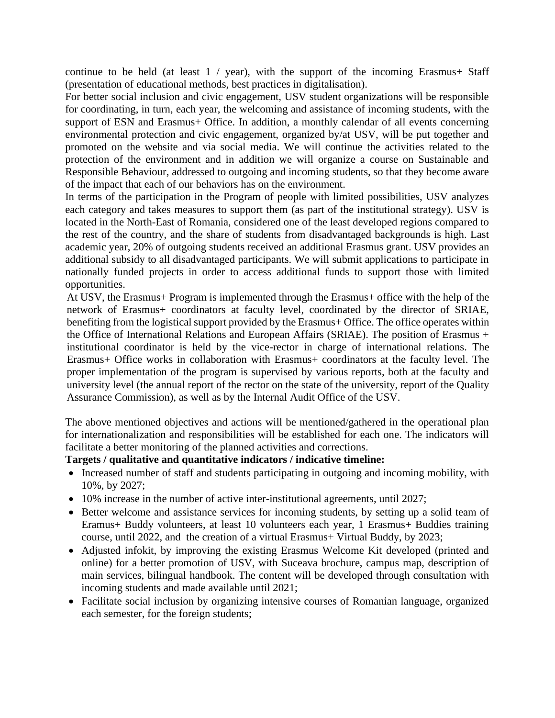continue to be held (at least  $1 /$  year), with the support of the incoming Erasmus+ Staff (presentation of educational methods, best practices in digitalisation).

For better social inclusion and civic engagement, USV student organizations will be responsible for coordinating, in turn, each year, the welcoming and assistance of incoming students, with the support of ESN and Erasmus+ Office. In addition, a monthly calendar of all events concerning environmental protection and civic engagement, organized by/at USV, will be put together and promoted on the website and via social media. We will continue the activities related to the protection of the environment and in addition we will organize a course on Sustainable and Responsible Behaviour, addressed to outgoing and incoming students, so that they become aware of the impact that each of our behaviors has on the environment.

In terms of the participation in the Program of people with limited possibilities, USV analyzes each category and takes measures to support them (as part of the institutional strategy). USV is located in the North-East of Romania, considered one of the least developed regions compared to the rest of the country, and the share of students from disadvantaged backgrounds is high. Last academic year, 20% of outgoing students received an additional Erasmus grant. USV provides an additional subsidy to all disadvantaged participants. We will submit applications to participate in nationally funded projects in order to access additional funds to support those with limited opportunities.

At USV, the Erasmus+ Program is implemented through the Erasmus+ office with the help of the network of Erasmus+ coordinators at faculty level, coordinated by the director of SRIAE, benefiting from the logistical support provided by the Erasmus+ Office. The office operates within the Office of International Relations and European Affairs (SRIAE). The position of Erasmus + institutional coordinator is held by the vice-rector in charge of international relations. The Erasmus+ Office works in collaboration with Erasmus+ coordinators at the faculty level. The proper implementation of the program is supervised by various reports, both at the faculty and university level (the annual report of the rector on the state of the university, report of the Quality Assurance Commission), as well as by the Internal Audit Office of the USV.

The above mentioned objectives and actions will be mentioned/gathered in the operational plan for internationalization and responsibilities will be established for each one. The indicators will facilitate a better monitoring of the planned activities and corrections.

## **Targets / qualitative and quantitative indicators / indicative timeline:**

- Increased number of staff and students participating in outgoing and incoming mobility, with 10%, by 2027;
- 10% increase in the number of active inter-institutional agreements, until 2027;
- Better welcome and assistance services for incoming students, by setting up a solid team of Eramus+ Buddy volunteers, at least 10 volunteers each year, 1 Erasmus+ Buddies training course, until 2022, and the creation of a virtual Erasmus+ Virtual Buddy, by 2023;
- Adjusted infokit, by improving the existing Erasmus Welcome Kit developed (printed and online) for a better promotion of USV, with Suceava brochure, campus map, description of main services, bilingual handbook. The content will be developed through consultation with incoming students and made available until 2021;
- Facilitate social inclusion by organizing intensive courses of Romanian language, organized each semester, for the foreign students;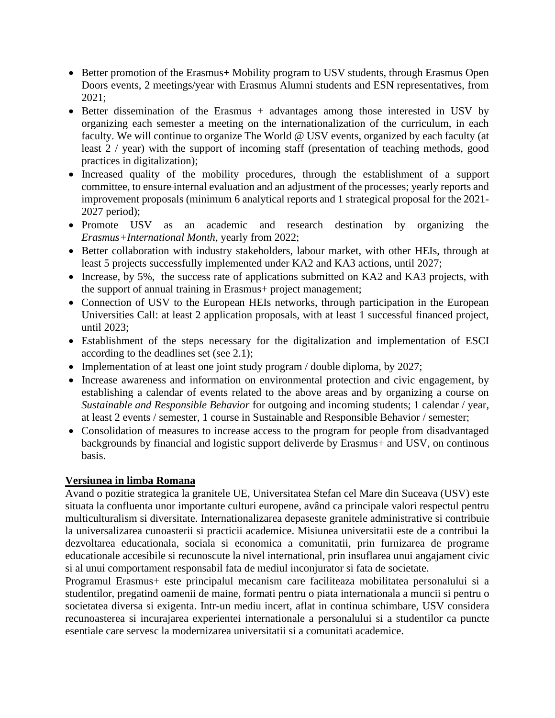- Better promotion of the Erasmus+ Mobility program to USV students, through Erasmus Open Doors events, 2 meetings/year with Erasmus Alumni students and ESN representatives, from 2021;
- Better dissemination of the Erasmus + advantages among those interested in USV by organizing each semester a meeting on the internationalization of the curriculum, in each faculty. We will continue to organize The World @ USV events, organized by each faculty (at least 2 / year) with the support of incoming staff (presentation of teaching methods, good practices in digitalization);
- Increased quality of the mobility procedures, through the establishment of a support committee, to ensure internal evaluation and an adjustment of the processes; yearly reports and improvement proposals (minimum 6 analytical reports and 1 strategical proposal for the 2021- 2027 period);
- Promote USV as an academic and research destination by organizing the *Erasmus+International Month*, yearly from 2022;
- Better collaboration with industry stakeholders, labour market, with other HEIs, through at least 5 projects successfully implemented under KA2 and KA3 actions, until 2027;
- Increase, by 5%, the success rate of applications submitted on KA2 and KA3 projects, with the support of annual training in Erasmus+ project management;
- Connection of USV to the European HEIs networks, through participation in the European Universities Call: at least 2 application proposals, with at least 1 successful financed project, until 2023;
- Establishment of the steps necessary for the digitalization and implementation of ESCI according to the deadlines set (see 2.1);
- Implementation of at least one joint study program / double diploma, by 2027;
- Increase awareness and information on environmental protection and civic engagement, by establishing a calendar of events related to the above areas and by organizing a course on *Sustainable and Responsible Behavior* for outgoing and incoming students; 1 calendar / year, at least 2 events / semester, 1 course in Sustainable and Responsible Behavior / semester;
- Consolidation of measures to increase access to the program for people from disadvantaged backgrounds by financial and logistic support deliverde by Erasmus+ and USV, on continous basis.

## **Versiunea in limba Romana**

Avand o pozitie strategica la granitele UE, Universitatea Stefan cel Mare din Suceava (USV) este situata la confluenta unor importante culturi europene, având ca principale valori respectul pentru multiculturalism si diversitate. Internationalizarea depaseste granitele administrative si contribuie la universalizarea cunoasterii si practicii academice. Misiunea universitatii este de a contribui la dezvoltarea educationala, sociala si economica a comunitatii, prin furnizarea de programe educationale accesibile si recunoscute la nivel international, prin insuflarea unui angajament civic si al unui comportament responsabil fata de mediul inconjurator si fata de societate.

Programul Erasmus+ este principalul mecanism care faciliteaza mobilitatea personalului si a studentilor, pregatind oamenii de maine, formati pentru o piata internationala a muncii si pentru o societatea diversa si exigenta. Intr-un mediu incert, aflat in continua schimbare, USV considera recunoasterea si incurajarea experientei internationale a personalului si a studentilor ca puncte esentiale care servesc la modernizarea universitatii si a comunitati academice.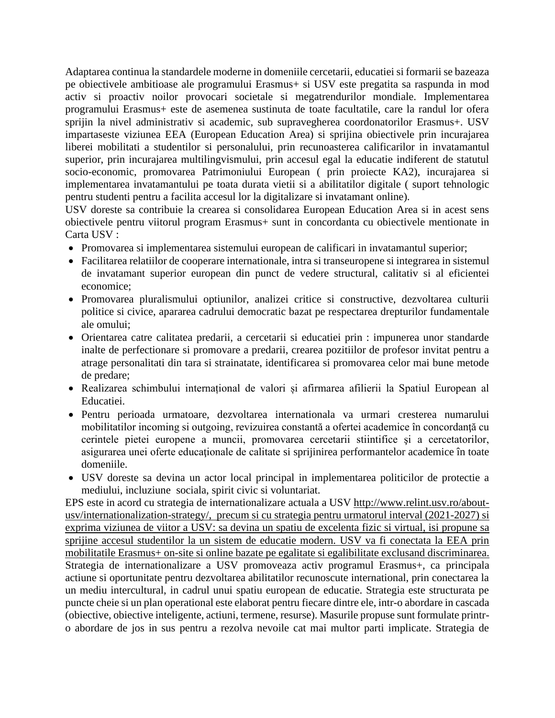Adaptarea continua la standardele moderne in domeniile cercetarii, educatiei si formarii se bazeaza pe obiectivele ambitioase ale programului Erasmus+ si USV este pregatita sa raspunda in mod activ si proactiv noilor provocari societale si megatrendurilor mondiale. Implementarea programului Erasmus+ este de asemenea sustinuta de toate facultatile, care la randul lor ofera sprijin la nivel administrativ si academic, sub supravegherea coordonatorilor Erasmus+. USV impartaseste viziunea EEA (European Education Area) si sprijina obiectivele prin incurajarea liberei mobilitati a studentilor si personalului, prin recunoasterea calificarilor in invatamantul superior, prin incurajarea multilingvismului, prin accesul egal la educatie indiferent de statutul socio-economic, promovarea Patrimoniului European ( prin proiecte KA2), incurajarea si implementarea invatamantului pe toata durata vietii si a abilitatilor digitale ( suport tehnologic pentru studenti pentru a facilita accesul lor la digitalizare si invatamant online).

USV doreste sa contribuie la crearea si consolidarea European Education Area si in acest sens obiectivele pentru viitorul program Erasmus+ sunt in concordanta cu obiectivele mentionate in Carta USV :

- Promovarea si implementarea sistemului european de calificari in invatamantul superior;
- Facilitarea relatiilor de cooperare internationale, intra si transeuropene si integrarea in sistemul de invatamant superior european din punct de vedere structural, calitativ si al eficientei economice;
- Promovarea pluralismului optiunilor, analizei critice si constructive, dezvoltarea culturii politice si civice, apararea cadrului democratic bazat pe respectarea drepturilor fundamentale ale omului;
- Orientarea catre calitatea predarii, a cercetarii si educatiei prin : impunerea unor standarde inalte de perfectionare si promovare a predarii, crearea pozitiilor de profesor invitat pentru a atrage personalitati din tara si strainatate, identificarea si promovarea celor mai bune metode de predare;
- Realizarea schimbului internațional de valori și afirmarea afilierii la Spatiul European al Educatiei.
- Pentru perioada urmatoare, dezvoltarea internationala va urmari cresterea numarului mobilitatilor incoming si outgoing, revizuirea constantă a ofertei academice în concordanţă cu cerintele pietei europene a muncii, promovarea cercetarii stiintifice şi a cercetatorilor, asigurarea unei oferte educaţionale de calitate si sprijinirea performantelor academice în toate domeniile.
- USV doreste sa devina un actor local principal in implementarea politicilor de protectie a mediului, incluziune sociala, spirit civic si voluntariat.

EPS este in acord cu strategia de internationalizare actuala a USV [http://www.relint.usv.ro/about](http://www.relint.usv.ro/about-usv/internationalization-strategy/)[usv/internationalization-strategy/,](http://www.relint.usv.ro/about-usv/internationalization-strategy/) precum si cu strategia pentru urmatorul interval (2021-2027) si exprima viziunea de viitor a USV: sa devina un spatiu de excelenta fizic si virtual, isi propune sa sprijine accesul studentilor la un sistem de educatie modern. USV va fi conectata la EEA prin mobilitatile Erasmus+ on-site si online bazate pe egalitate si egalibilitate exclusand discriminarea. Strategia de internationalizare a USV promoveaza activ programul Erasmus+, ca principala actiune si oportunitate pentru dezvoltarea abilitatilor recunoscute international, prin conectarea la un mediu intercultural, in cadrul unui spatiu european de educatie. Strategia este structurata pe puncte cheie si un plan operational este elaborat pentru fiecare dintre ele, intr-o abordare in cascada (obiective, obiective inteligente, actiuni, termene, resurse). Masurile propuse sunt formulate printro abordare de jos in sus pentru a rezolva nevoile cat mai multor parti implicate. Strategia de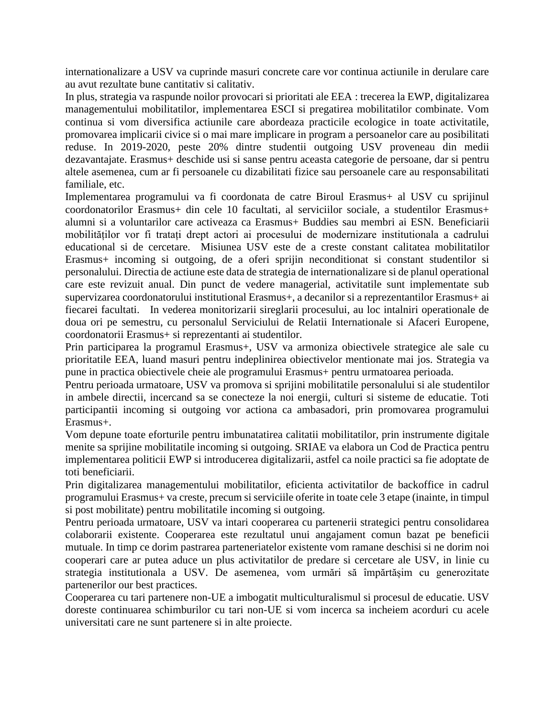internationalizare a USV va cuprinde masuri concrete care vor continua actiunile in derulare care au avut rezultate bune cantitativ si calitativ.

In plus, strategia va raspunde noilor provocari si prioritati ale EEA : trecerea la EWP, digitalizarea managementului mobilitatilor, implementarea ESCI si pregatirea mobilitatilor combinate. Vom continua si vom diversifica actiunile care abordeaza practicile ecologice in toate activitatile, promovarea implicarii civice si o mai mare implicare in program a persoanelor care au posibilitati reduse. In 2019-2020, peste 20% dintre studentii outgoing USV proveneau din medii dezavantajate. Erasmus+ deschide usi si sanse pentru aceasta categorie de persoane, dar si pentru altele asemenea, cum ar fi persoanele cu dizabilitati fizice sau persoanele care au responsabilitati familiale, etc.

Implementarea programului va fi coordonata de catre Biroul Erasmus+ al USV cu sprijinul coordonatorilor Erasmus+ din cele 10 facultati, al serviciilor sociale, a studentilor Erasmus+ alumni si a voluntarilor care activeaza ca Erasmus+ Buddies sau membri ai ESN. Beneficiarii mobilităților vor fi tratați drept actori ai procesului de modernizare institutionala a cadrului educational si de cercetare. Misiunea USV este de a creste constant calitatea mobilitatilor Erasmus+ incoming si outgoing, de a oferi sprijin neconditionat si constant studentilor si personalului. Directia de actiune este data de strategia de internationalizare si de planul operational care este revizuit anual. Din punct de vedere managerial, activitatile sunt implementate sub supervizarea coordonatorului institutional Erasmus+, a decanilor si a reprezentantilor Erasmus+ ai fiecarei facultati. In vederea monitorizarii sireglarii procesului, au loc intalniri operationale de doua ori pe semestru, cu personalul Serviciului de Relatii Internationale si Afaceri Europene, coordonatorii Erasmus+ si reprezentanti ai studentilor.

Prin participarea la programul Erasmus+, USV va armoniza obiectivele strategice ale sale cu prioritatile EEA, luand masuri pentru indeplinirea obiectivelor mentionate mai jos. Strategia va pune in practica obiectivele cheie ale programului Erasmus+ pentru urmatoarea perioada.

Pentru perioada urmatoare, USV va promova si sprijini mobilitatile personalului si ale studentilor in ambele directii, incercand sa se conecteze la noi energii, culturi si sisteme de educatie. Toti participantii incoming si outgoing vor actiona ca ambasadori, prin promovarea programului Erasmus+.

Vom depune toate eforturile pentru imbunatatirea calitatii mobilitatilor, prin instrumente digitale menite sa sprijine mobilitatile incoming si outgoing. SRIAE va elabora un Cod de Practica pentru implementarea politicii EWP si introducerea digitalizarii, astfel ca noile practici sa fie adoptate de toti beneficiarii.

Prin digitalizarea managementului mobilitatilor, eficienta activitatilor de backoffice in cadrul programului Erasmus+ va creste, precum si serviciile oferite in toate cele 3 etape (inainte, in timpul si post mobilitate) pentru mobilitatile incoming si outgoing.

Pentru perioada urmatoare, USV va intari cooperarea cu partenerii strategici pentru consolidarea colaborarii existente. Cooperarea este rezultatul unui angajament comun bazat pe beneficii mutuale. In timp ce dorim pastrarea parteneriatelor existente vom ramane deschisi si ne dorim noi cooperari care ar putea aduce un plus activitatilor de predare si cercetare ale USV, in linie cu strategia institutionala a USV. De asemenea, vom urmări să împărtășim cu generozitate partenerilor our best practices.

Cooperarea cu tari partenere non-UE a imbogatit multiculturalismul si procesul de educatie. USV doreste continuarea schimburilor cu tari non-UE si vom incerca sa incheiem acorduri cu acele universitati care ne sunt partenere si in alte proiecte.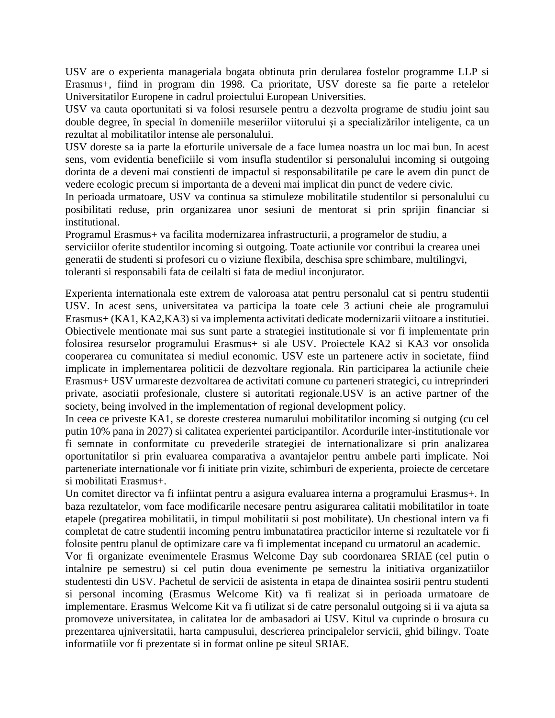USV are o experienta manageriala bogata obtinuta prin derularea fostelor programme LLP si Erasmus+, fiind in program din 1998. Ca prioritate, USV doreste sa fie parte a retelelor Universitatilor Europene in cadrul proiectului European Universities.

USV va cauta oportunitati si va folosi resursele pentru a dezvolta programe de studiu joint sau double degree, în special în domeniile meseriilor viitorului și a specializărilor inteligente, ca un rezultat al mobilitatilor intense ale personalului.

USV doreste sa ia parte la eforturile universale de a face lumea noastra un loc mai bun. In acest sens, vom evidentia beneficiile si vom insufla studentilor si personalului incoming si outgoing dorinta de a deveni mai constienti de impactul si responsabilitatile pe care le avem din punct de vedere ecologic precum si importanta de a deveni mai implicat din punct de vedere civic.

In perioada urmatoare, USV va continua sa stimuleze mobilitatile studentilor si personalului cu posibilitati reduse, prin organizarea unor sesiuni de mentorat si prin sprijin financiar si institutional.

Programul Erasmus+ va facilita modernizarea infrastructurii, a programelor de studiu, a serviciilor oferite studentilor incoming si outgoing. Toate actiunile vor contribui la crearea unei generatii de studenti si profesori cu o viziune flexibila, deschisa spre schimbare, multilingvi, toleranti si responsabili fata de ceilalti si fata de mediul inconjurator.

Experienta internationala este extrem de valoroasa atat pentru personalul cat si pentru studentii USV. In acest sens, universitatea va participa la toate cele 3 actiuni cheie ale programului Erasmus+ (KA1, KA2,KA3) si va implementa activitati dedicate modernizarii viitoare a institutiei. Obiectivele mentionate mai sus sunt parte a strategiei institutionale si vor fi implementate prin folosirea resurselor programului Erasmus+ si ale USV. Proiectele KA2 si KA3 vor onsolida cooperarea cu comunitatea si mediul economic. USV este un partenere activ in societate, fiind implicate in implementarea politicii de dezvoltare regionala. Rin participarea la actiunile cheie Erasmus+ USV urmareste dezvoltarea de activitati comune cu parteneri strategici, cu intreprinderi private, asociatii profesionale, clustere si autoritati regionale.USV is an active partner of the society, being involved in the implementation of regional development policy.

In ceea ce priveste KA1, se doreste cresterea numarului mobilitatilor incoming si outging (cu cel putin 10% pana in 2027) si calitatea experientei participantilor. Acordurile inter-institutionale vor fi semnate in conformitate cu prevederile strategiei de internationalizare si prin analizarea oportunitatilor si prin evaluarea comparativa a avantajelor pentru ambele parti implicate. Noi parteneriate internationale vor fi initiate prin vizite, schimburi de experienta, proiecte de cercetare si mobilitati Erasmus+.

Un comitet director va fi infiintat pentru a asigura evaluarea interna a programului Erasmus+. In baza rezultatelor, vom face modificarile necesare pentru asigurarea calitatii mobilitatilor in toate etapele (pregatirea mobilitatii, in timpul mobilitatii si post mobilitate). Un chestional intern va fi completat de catre studentii incoming pentru imbunatatirea practicilor interne si rezultatele vor fi folosite pentru planul de optimizare care va fi implementat incepand cu urmatorul an academic.

Vor fi organizate evenimentele Erasmus Welcome Day sub coordonarea SRIAE (cel putin o intalnire pe semestru) si cel putin doua evenimente pe semestru la initiativa organizatiilor studentesti din USV. Pachetul de servicii de asistenta in etapa de dinaintea sosirii pentru studenti si personal incoming (Erasmus Welcome Kit) va fi realizat si in perioada urmatoare de implementare. Erasmus Welcome Kit va fi utilizat si de catre personalul outgoing si ii va ajuta sa promoveze universitatea, in calitatea lor de ambasadori ai USV. Kitul va cuprinde o brosura cu prezentarea ujniversitatii, harta campusului, descrierea principalelor servicii, ghid bilingv. Toate informatiile vor fi prezentate si in format online pe siteul SRIAE.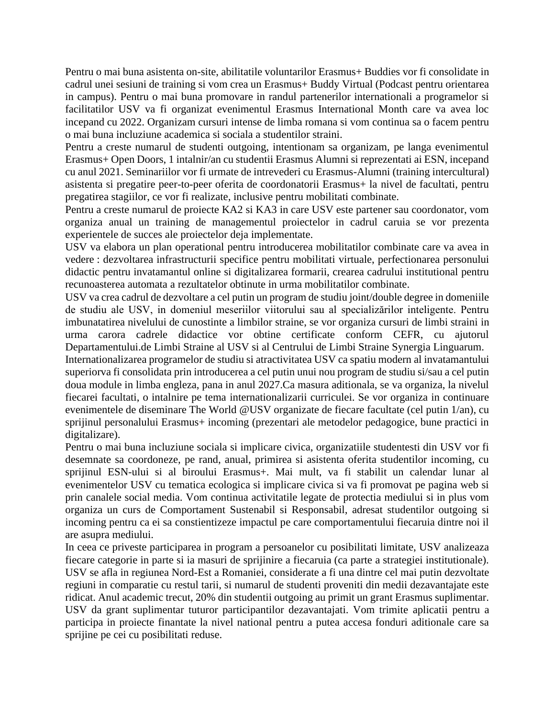Pentru o mai buna asistenta on-site, abilitatile voluntarilor Erasmus+ Buddies vor fi consolidate in cadrul unei sesiuni de training si vom crea un Erasmus+ Buddy Virtual (Podcast pentru orientarea in campus). Pentru o mai buna promovare in randul partenerilor internationali a programelor si facilitatilor USV va fi organizat evenimentul Erasmus International Month care va avea loc incepand cu 2022. Organizam cursuri intense de limba romana si vom continua sa o facem pentru o mai buna incluziune academica si sociala a studentilor straini.

Pentru a creste numarul de studenti outgoing, intentionam sa organizam, pe langa evenimentul Erasmus+ Open Doors, 1 intalnir/an cu studentii Erasmus Alumni si reprezentati ai ESN, incepand cu anul 2021. Seminariilor vor fi urmate de intrevederi cu Erasmus-Alumni (training intercultural) asistenta si pregatire peer-to-peer oferita de coordonatorii Erasmus+ la nivel de facultati, pentru pregatirea stagiilor, ce vor fi realizate, inclusive pentru mobilitati combinate.

Pentru a creste numarul de proiecte KA2 si KA3 in care USV este partener sau coordonator, vom organiza anual un training de managementul proiectelor in cadrul caruia se vor prezenta experientele de succes ale proiectelor deja implementate.

USV va elabora un plan operational pentru introducerea mobilitatilor combinate care va avea in vedere : dezvoltarea infrastructurii specifice pentru mobilitati virtuale, perfectionarea personului didactic pentru invatamantul online si digitalizarea formarii, crearea cadrului institutional pentru recunoasterea automata a rezultatelor obtinute in urma mobilitatilor combinate.

USV va crea cadrul de dezvoltare a cel putin un program de studiu joint/double degree in domeniile de studiu ale USV, in domeniul meseriilor viitorului sau al specializărilor inteligente. Pentru imbunatatirea nivelului de cunostinte a limbilor straine, se vor organiza cursuri de limbi straini in urma carora cadrele didactice vor obtine certificate conform CEFR, cu ajutorul Departamentului.de Limbi Straine al USV si al Centrului de Limbi Straine Synergia Linguarum.

Internationalizarea programelor de studiu si atractivitatea USV ca spatiu modern al invatamantului superiorva fi consolidata prin introducerea a cel putin unui nou program de studiu si/sau a cel putin doua module in limba engleza, pana in anul 2027.Ca masura aditionala, se va organiza, la nivelul fiecarei facultati, o intalnire pe tema internationalizarii curriculei. Se vor organiza in continuare evenimentele de diseminare The World @USV organizate de fiecare facultate (cel putin 1/an), cu sprijinul personalului Erasmus+ incoming (prezentari ale metodelor pedagogice, bune practici in digitalizare).

Pentru o mai buna incluziune sociala si implicare civica, organizatiile studentesti din USV vor fi desemnate sa coordoneze, pe rand, anual, primirea si asistenta oferita studentilor incoming, cu sprijinul ESN-ului si al biroului Erasmus+. Mai mult, va fi stabilit un calendar lunar al evenimentelor USV cu tematica ecologica si implicare civica si va fi promovat pe pagina web si prin canalele social media. Vom continua activitatile legate de protectia mediului si in plus vom organiza un curs de Comportament Sustenabil si Responsabil, adresat studentilor outgoing si incoming pentru ca ei sa constientizeze impactul pe care comportamentului fiecaruia dintre noi il are asupra mediului.

In ceea ce priveste participarea in program a persoanelor cu posibilitati limitate, USV analizeaza fiecare categorie in parte si ia masuri de sprijinire a fiecaruia (ca parte a strategiei institutionale). USV se afla in regiunea Nord-Est a Romaniei, considerate a fi una dintre cel mai putin dezvoltate regiuni in comparatie cu restul tarii, si numarul de studenti proveniti din medii dezavantajate este ridicat. Anul academic trecut, 20% din studentii outgoing au primit un grant Erasmus suplimentar. USV da grant suplimentar tuturor participantilor dezavantajati. Vom trimite aplicatii pentru a participa in proiecte finantate la nivel national pentru a putea accesa fonduri aditionale care sa sprijine pe cei cu posibilitati reduse.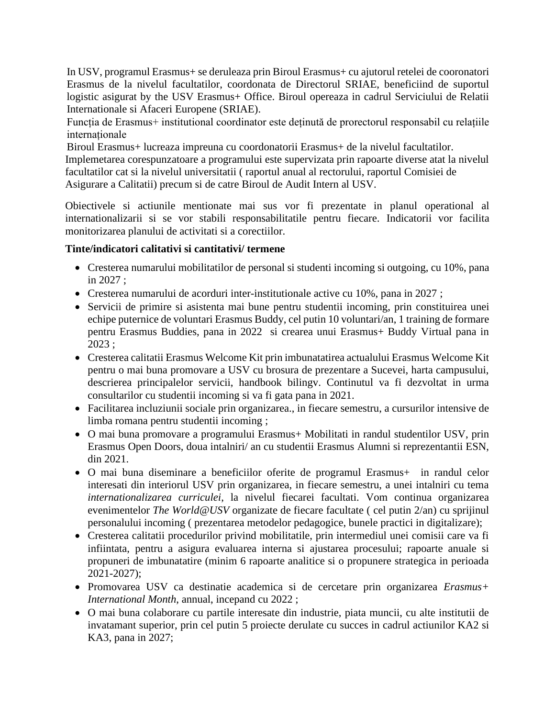In USV, programul Erasmus+ se deruleaza prin Biroul Erasmus+ cu ajutorul retelei de cooronatori Erasmus de la nivelul facultatilor, coordonata de Directorul SRIAE, beneficiind de suportul logistic asigurat by the USV Erasmus+ Office. Biroul opereaza in cadrul Serviciului de Relatii Internationale si Afaceri Europene (SRIAE).

Funcția de Erasmus+ institutional coordinator este deținută de prorectorul responsabil cu relațiile internaționale

Biroul Erasmus+ lucreaza impreuna cu coordonatorii Erasmus+ de la nivelul facultatilor.

Implemetarea corespunzatoare a programului este supervizata prin rapoarte diverse atat la nivelul facultatilor cat si la nivelul universitatii ( raportul anual al rectorului, raportul Comisiei de Asigurare a Calitatii) precum si de catre Biroul de Audit Intern al USV.

Obiectivele si actiunile mentionate mai sus vor fi prezentate in planul operational al internationalizarii si se vor stabili responsabilitatile pentru fiecare. Indicatorii vor facilita monitorizarea planului de activitati si a corectiilor.

## **Tinte/indicatori calitativi si cantitativi/ termene**

- Cresterea numarului mobilitatilor de personal si studenti incoming si outgoing, cu 10%, pana in 2027 ;
- Cresterea numarului de acorduri inter-institutionale active cu 10%, pana in 2027 ;
- Servicii de primire si asistenta mai bune pentru studentii incoming, prin constituirea unei echipe puternice de voluntari Erasmus Buddy, cel putin 10 voluntari/an, 1 training de formare pentru Erasmus Buddies, pana in 2022 si crearea unui Erasmus+ Buddy Virtual pana in 2023 ;
- Cresterea calitatii Erasmus Welcome Kit prin imbunatatirea actualului Erasmus Welcome Kit pentru o mai buna promovare a USV cu brosura de prezentare a Sucevei, harta campusului, descrierea principalelor servicii, handbook bilingv. Continutul va fi dezvoltat in urma consultarilor cu studentii incoming si va fi gata pana in 2021.
- Facilitarea incluziunii sociale prin organizarea., in fiecare semestru, a cursurilor intensive de limba romana pentru studentii incoming ;
- O mai buna promovare a programului Erasmus+ Mobilitati in randul studentilor USV, prin Erasmus Open Doors, doua intalniri/ an cu studentii Erasmus Alumni si reprezentantii ESN, din 2021.
- O mai buna diseminare a beneficiilor oferite de programul Erasmus+ in randul celor interesati din interiorul USV prin organizarea, in fiecare semestru, a unei intalniri cu tema *internationalizarea curriculei*, la nivelul fiecarei facultati. Vom continua organizarea evenimentelor *The World@USV* organizate de fiecare facultate ( cel putin 2/an) cu sprijinul personalului incoming ( prezentarea metodelor pedagogice, bunele practici in digitalizare);
- Cresterea calitatii procedurilor privind mobilitatile, prin intermediul unei comisii care va fi infiintata, pentru a asigura evaluarea interna si ajustarea procesului; rapoarte anuale si propuneri de imbunatatire (minim 6 rapoarte analitice si o propunere strategica in perioada 2021-2027);
- Promovarea USV ca destinatie academica si de cercetare prin organizarea *Erasmus+ International Month*, annual, incepand cu 2022 ;
- O mai buna colaborare cu partile interesate din industrie, piata muncii, cu alte institutii de invatamant superior, prin cel putin 5 proiecte derulate cu succes in cadrul actiunilor KA2 si KA3, pana in 2027;